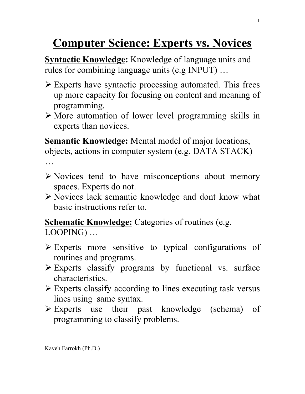## **Computer Science: Experts vs. Novices**

**Syntactic Knowledge:** Knowledge of language units and rules for combining language units (e.g INPUT) …

- $\triangleright$  Experts have syntactic processing automated. This frees up more capacity for focusing on content and meaning of programming.
- $\triangleright$  More automation of lower level programming skills in experts than novices.

**Semantic Knowledge:** Mental model of major locations, objects, actions in computer system (e.g. DATA STACK) …

- $\triangleright$  Novices tend to have misconceptions about memory spaces. Experts do not.
- Ø Novices lack semantic knowledge and dont know what basic instructions refer to.

**Schematic Knowledge:** Categories of routines (e.g. LOOPING) …

- $\triangleright$  Experts more sensitive to typical configurations of routines and programs.
- $\triangleright$  Experts classify programs by functional vs. surface characteristics.
- $\triangleright$  Experts classify according to lines executing task versus lines using same syntax.
- $\triangleright$  Experts use their past knowledge (schema) of programming to classify problems.